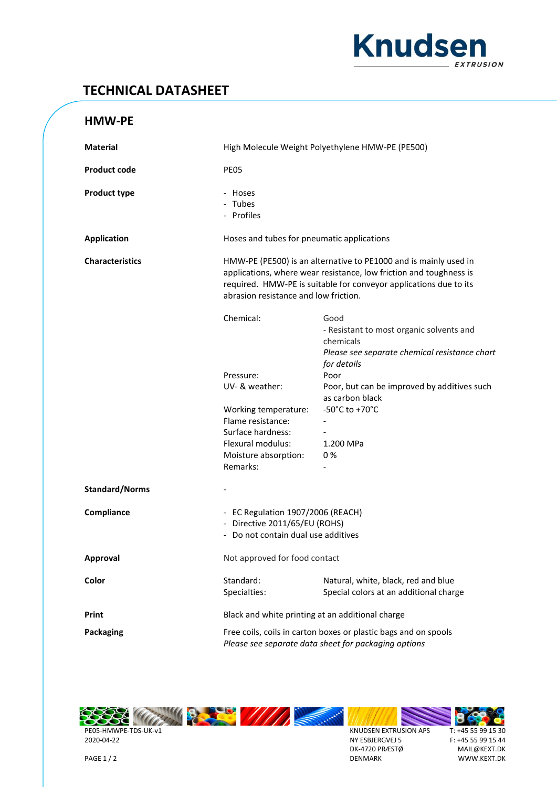

## **TECHNICAL DATASHEET**

| <b>Material</b>        | High Molecule Weight Polyethylene HMW-PE (PE500)                                                                                                                                                                                                     |                                                                                                                               |
|------------------------|------------------------------------------------------------------------------------------------------------------------------------------------------------------------------------------------------------------------------------------------------|-------------------------------------------------------------------------------------------------------------------------------|
| <b>Product code</b>    | PE05                                                                                                                                                                                                                                                 |                                                                                                                               |
| <b>Product type</b>    | - Hoses<br>- Tubes<br>- Profiles                                                                                                                                                                                                                     |                                                                                                                               |
| <b>Application</b>     | Hoses and tubes for pneumatic applications                                                                                                                                                                                                           |                                                                                                                               |
| <b>Characteristics</b> | HMW-PE (PE500) is an alternative to PE1000 and is mainly used in<br>applications, where wear resistance, low friction and toughness is<br>required. HMW-PE is suitable for conveyor applications due to its<br>abrasion resistance and low friction. |                                                                                                                               |
|                        | Chemical:                                                                                                                                                                                                                                            | Good<br>- Resistant to most organic solvents and<br>chemicals<br>Please see separate chemical resistance chart<br>for details |
|                        | Pressure:<br>UV- & weather:                                                                                                                                                                                                                          | Poor<br>Poor, but can be improved by additives such<br>as carbon black                                                        |
|                        | Working temperature:<br>Flame resistance:<br>Surface hardness:<br>Flexural modulus:<br>Moisture absorption:<br>Remarks:                                                                                                                              | -50 $^{\circ}$ C to +70 $^{\circ}$ C<br>1.200 MPa<br>0%                                                                       |
| <b>Standard/Norms</b>  |                                                                                                                                                                                                                                                      |                                                                                                                               |
| Compliance             | - EC Regulation 1907/2006 (REACH)<br>- Directive 2011/65/EU (ROHS)<br>- Do not contain dual use additives                                                                                                                                            |                                                                                                                               |
| <b>Approval</b>        | Not approved for food contact                                                                                                                                                                                                                        |                                                                                                                               |
| Color                  | Standard:<br>Specialties:                                                                                                                                                                                                                            | Natural, white, black, red and blue<br>Special colors at an additional charge                                                 |
| Print                  | Black and white printing at an additional charge                                                                                                                                                                                                     |                                                                                                                               |
| Packaging              | Free coils, coils in carton boxes or plastic bags and on spools<br>Please see separate data sheet for packaging options                                                                                                                              |                                                                                                                               |



2020-04-22 PAGE 1 / 2



S KNUDSEN EXTRUSION APS NY ESBJERGVEJ 5 DK-4720 PRÆSTØ DENMARK

**STANDARD** 



F: +45 55 99 15 44 MAIL@KEXT.DK WWW.KEXT.DK